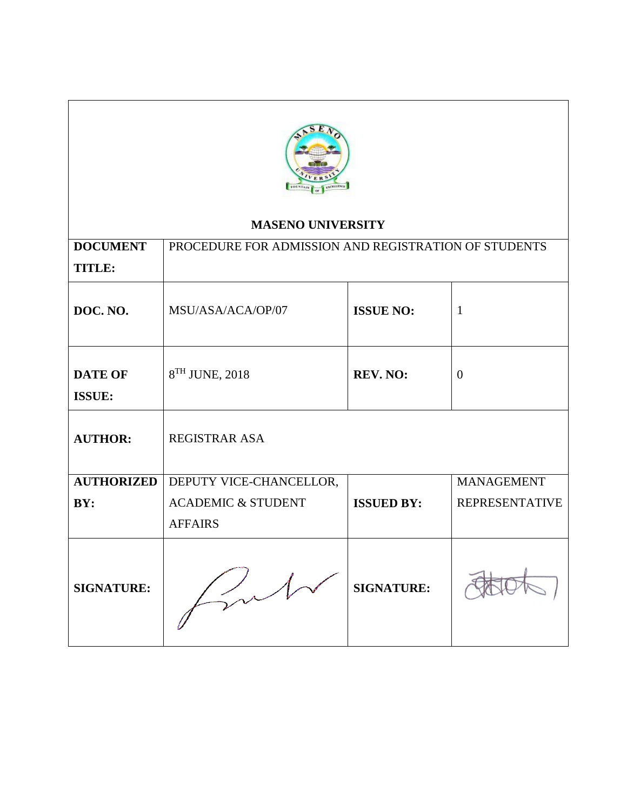

# **MASENO UNIVERSITY**

| <b>DOCUMENT</b>                 | PROCEDURE FOR ADMISSION AND REGISTRATION OF STUDENTS |                   |                       |  |
|---------------------------------|------------------------------------------------------|-------------------|-----------------------|--|
| <b>TITLE:</b>                   |                                                      |                   |                       |  |
| DOC. NO.                        | MSU/ASA/ACA/OP/07                                    | <b>ISSUE NO:</b>  | 1                     |  |
| <b>DATE OF</b><br><b>ISSUE:</b> | 8TH JUNE, 2018                                       | $\overline{0}$    |                       |  |
| <b>AUTHOR:</b>                  | <b>REGISTRAR ASA</b>                                 |                   |                       |  |
| <b>AUTHORIZED</b>               | DEPUTY VICE-CHANCELLOR,                              |                   | <b>MANAGEMENT</b>     |  |
| BY:                             | <b>ACADEMIC &amp; STUDENT</b>                        | <b>ISSUED BY:</b> | <b>REPRESENTATIVE</b> |  |
|                                 | <b>AFFAIRS</b>                                       |                   |                       |  |
| <b>SIGNATURE:</b>               |                                                      | <b>SIGNATURE:</b> |                       |  |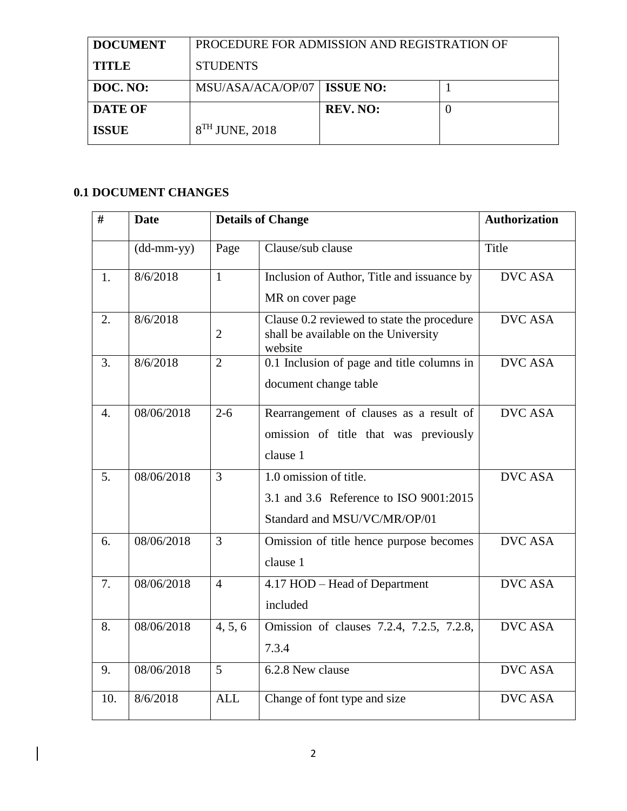| <b>DOCUMENT</b> | PROCEDURE FOR ADMISSION AND REGISTRATION OF |                 |  |  |
|-----------------|---------------------------------------------|-----------------|--|--|
| <b>TITLE</b>    | <b>STUDENTS</b>                             |                 |  |  |
| DOC. NO:        | MSU/ASA/ACA/OP/07   ISSUE NO:               |                 |  |  |
| <b>DATE OF</b>  |                                             | <b>REV. NO:</b> |  |  |
| <b>ISSUE</b>    | $8TH$ JUNE, 2018                            |                 |  |  |

# **0.1 DOCUMENT CHANGES**

 $\begin{array}{c} \hline \end{array}$ 

| #                | <b>Date</b>  |                | <b>Details of Change</b>                                                                      | <b>Authorization</b> |
|------------------|--------------|----------------|-----------------------------------------------------------------------------------------------|----------------------|
|                  | $(dd-mm-yy)$ | Page           | Clause/sub clause                                                                             | Title                |
| 1.               | 8/6/2018     | $\mathbf{1}$   | Inclusion of Author, Title and issuance by                                                    | <b>DVC ASA</b>       |
|                  |              |                | MR on cover page                                                                              |                      |
| 2.               | 8/6/2018     | 2              | Clause 0.2 reviewed to state the procedure<br>shall be available on the University<br>website | <b>DVC ASA</b>       |
| 3.               | 8/6/2018     | $\overline{2}$ | 0.1 Inclusion of page and title columns in<br>document change table                           | <b>DVC ASA</b>       |
| $\overline{4}$ . | 08/06/2018   | $2 - 6$        | Rearrangement of clauses as a result of                                                       | <b>DVC ASA</b>       |
|                  |              |                | omission of title that was previously                                                         |                      |
|                  |              |                | clause 1                                                                                      |                      |
| 5.               | 08/06/2018   | 3              | 1.0 omission of title.                                                                        | <b>DVC ASA</b>       |
|                  |              |                | 3.1 and 3.6 Reference to ISO 9001:2015                                                        |                      |
|                  |              |                | Standard and MSU/VC/MR/OP/01                                                                  |                      |
| 6.               | 08/06/2018   | 3              | Omission of title hence purpose becomes                                                       | <b>DVC ASA</b>       |
|                  |              |                | clause 1                                                                                      |                      |
| 7.               | 08/06/2018   | $\overline{4}$ | 4.17 HOD - Head of Department                                                                 | <b>DVC ASA</b>       |
|                  |              |                | included                                                                                      |                      |
| 8.               | 08/06/2018   | 4, 5, 6        | Omission of clauses 7.2.4, 7.2.5, 7.2.8,                                                      | <b>DVC ASA</b>       |
|                  |              |                | 7.3.4                                                                                         |                      |
| 9.               | 08/06/2018   | $\overline{5}$ | 6.2.8 New clause                                                                              | <b>DVC ASA</b>       |
| 10.              | 8/6/2018     | <b>ALL</b>     | Change of font type and size                                                                  | <b>DVC ASA</b>       |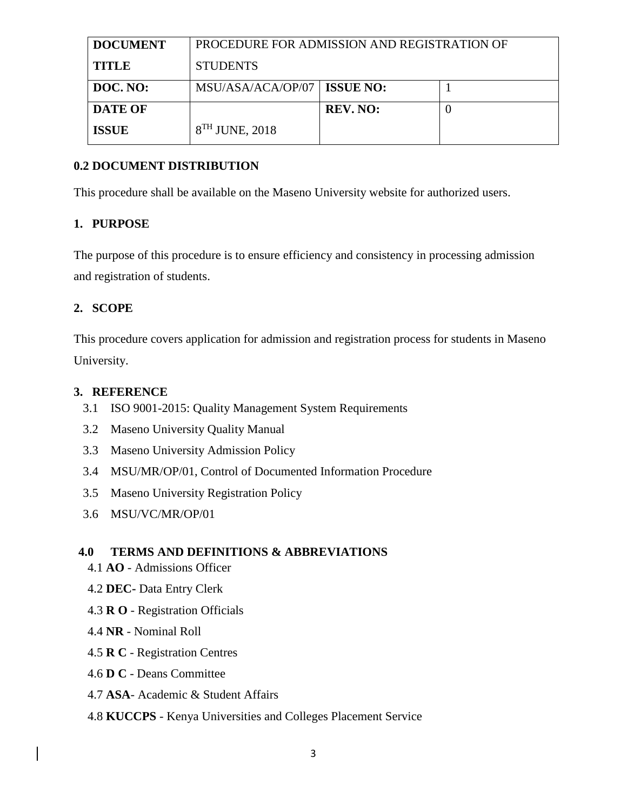| <b>DOCUMENT</b> | PROCEDURE FOR ADMISSION AND REGISTRATION OF |                 |  |  |
|-----------------|---------------------------------------------|-----------------|--|--|
| <b>TITLE</b>    | <b>STUDENTS</b>                             |                 |  |  |
| DOC. NO:        | MSU/ASA/ACA/OP/07   ISSUE NO:               |                 |  |  |
| <b>DATE OF</b>  |                                             | <b>REV. NO:</b> |  |  |
| <b>ISSUE</b>    | $8TH$ JUNE, 2018                            |                 |  |  |

## **0.2 DOCUMENT DISTRIBUTION**

This procedure shall be available on the Maseno University website for authorized users.

## **1. PURPOSE**

The purpose of this procedure is to ensure efficiency and consistency in processing admission and registration of students.

# **2. SCOPE**

This procedure covers application for admission and registration process for students in Maseno University.

## **3. REFERENCE**

- 3.1 ISO 9001-2015: Quality Management System Requirements
- 3.2 Maseno University Quality Manual
- 3.3 Maseno University Admission Policy
- 3.4 MSU/MR/OP/01, Control of Documented Information Procedure
- 3.5 Maseno University Registration Policy
- 3.6 MSU/VC/MR/OP/01

# **4.0 TERMS AND DEFINITIONS & ABBREVIATIONS**

- 4.1 **AO** Admissions Officer
- 4.2 **DEC-** Data Entry Clerk
- 4.3 **R O** Registration Officials
- 4.4 **NR** Nominal Roll
- 4.5 **R C** Registration Centres
- 4.6 **D C** Deans Committee
- 4.7 **ASA** Academic & Student Affairs
- 4.8 **KUCCPS** Kenya Universities and Colleges Placement Service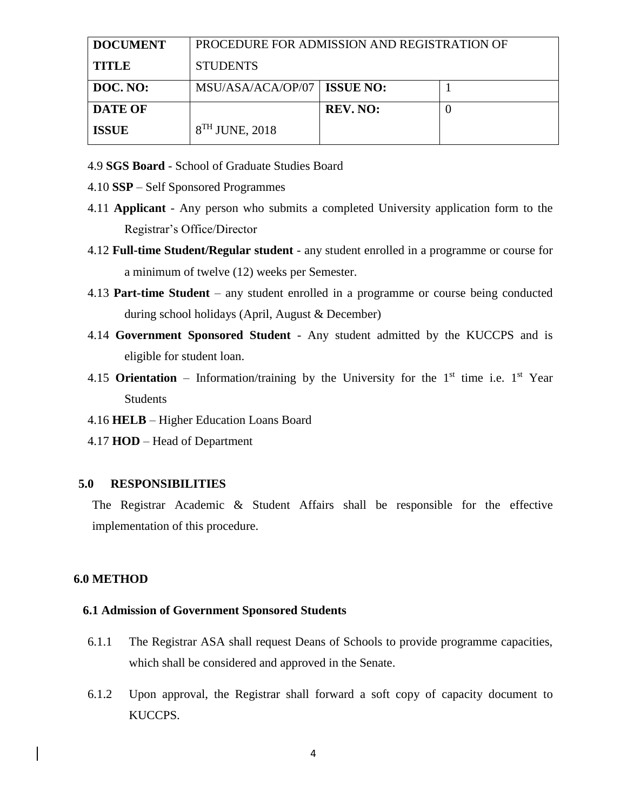| <b>DOCUMENT</b> | PROCEDURE FOR ADMISSION AND REGISTRATION OF |                 |  |  |
|-----------------|---------------------------------------------|-----------------|--|--|
| <b>TITLE</b>    | <b>STUDENTS</b>                             |                 |  |  |
| DOC. NO:        | MSU/ASA/ACA/OP/07   ISSUE NO:               |                 |  |  |
| <b>DATE OF</b>  |                                             | <b>REV. NO:</b> |  |  |
| <b>ISSUE</b>    | $8TH$ JUNE, 2018                            |                 |  |  |

4.9 **SGS Board** - School of Graduate Studies Board

- 4.10 **SSP**  Self Sponsored Programmes
- 4.11 **Applicant** Any person who submits a completed University application form to the Registrar's Office/Director
- 4.12 **Full-time Student/Regular student** any student enrolled in a programme or course for a minimum of twelve (12) weeks per Semester.
- 4.13 **Part-time Student** any student enrolled in a programme or course being conducted during school holidays (April, August & December)
- 4.14 **Government Sponsored Student** Any student admitted by the KUCCPS and is eligible for student loan.
- 4.15 **Orientation** Information/training by the University for the  $1<sup>st</sup>$  time i.e.  $1<sup>st</sup>$  Year Students
- 4.16 **HELB**  Higher Education Loans Board
- 4.17 **HOD**  Head of Department

#### **5.0 RESPONSIBILITIES**

The Registrar Academic & Student Affairs shall be responsible for the effective implementation of this procedure.

#### **6.0 METHOD**

#### **6.1 Admission of Government Sponsored Students**

- 6.1.1 The Registrar ASA shall request Deans of Schools to provide programme capacities, which shall be considered and approved in the Senate.
- 6.1.2 Upon approval, the Registrar shall forward a soft copy of capacity document to KUCCPS.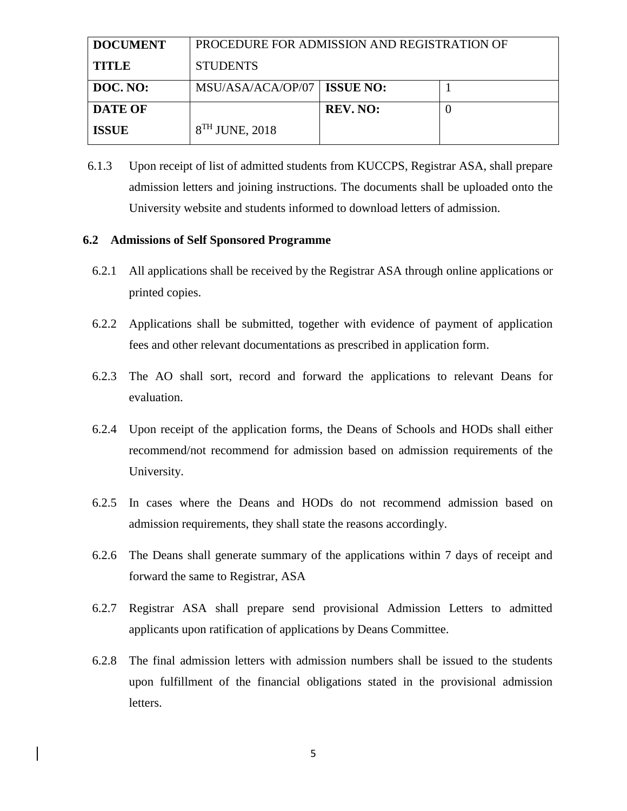| <b>DOCUMENT</b> | PROCEDURE FOR ADMISSION AND REGISTRATION OF |                 |   |  |
|-----------------|---------------------------------------------|-----------------|---|--|
| <b>TITLE</b>    | <b>STUDENTS</b>                             |                 |   |  |
| DOC. NO:        | MSU/ASA/ACA/OP/07   ISSUE NO:               |                 |   |  |
| <b>DATE OF</b>  |                                             | <b>REV. NO:</b> | U |  |
| <b>ISSUE</b>    | $8TH$ JUNE, 2018                            |                 |   |  |

6.1.3 Upon receipt of list of admitted students from KUCCPS, Registrar ASA, shall prepare admission letters and joining instructions. The documents shall be uploaded onto the University website and students informed to download letters of admission.

#### **6.2 Admissions of Self Sponsored Programme**

- 6.2.1 All applications shall be received by the Registrar ASA through online applications or printed copies.
- 6.2.2 Applications shall be submitted, together with evidence of payment of application fees and other relevant documentations as prescribed in application form.
- 6.2.3 The AO shall sort, record and forward the applications to relevant Deans for evaluation.
- 6.2.4 Upon receipt of the application forms, the Deans of Schools and HODs shall either recommend/not recommend for admission based on admission requirements of the University.
- 6.2.5 In cases where the Deans and HODs do not recommend admission based on admission requirements, they shall state the reasons accordingly.
- 6.2.6 The Deans shall generate summary of the applications within 7 days of receipt and forward the same to Registrar, ASA
- 6.2.7 Registrar ASA shall prepare send provisional Admission Letters to admitted applicants upon ratification of applications by Deans Committee.
- 6.2.8 The final admission letters with admission numbers shall be issued to the students upon fulfillment of the financial obligations stated in the provisional admission letters.